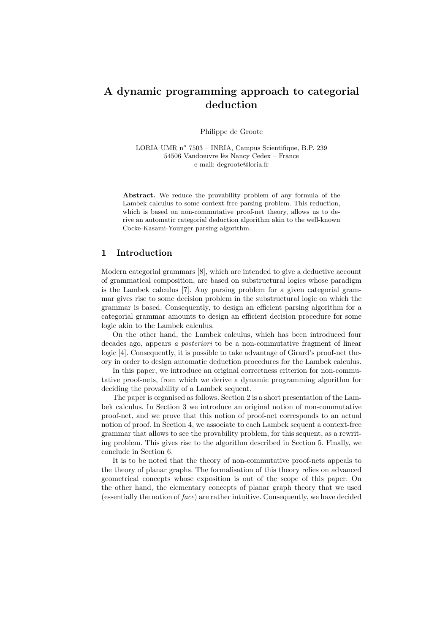# A dynamic programming approach to categorial deduction

Philippe de Groote

LORIA UMR nº 7503 - INRIA, Campus Scientifique, B.P. 239 54506 Vandœuvre lès Nancy Cedex – France e-mail: degroote@loria.fr

Abstract. We reduce the provability problem of any formula of the Lambek calculus to some context-free parsing problem. This reduction, which is based on non-commutative proof-net theory, allows us to derive an automatic categorial deduction algorithm akin to the well-known Cocke-Kasami-Younger parsing algorithm.

## 1 Introduction

Modern categorial grammars [8], which are intended to give a deductive account of grammatical composition, are based on substructural logics whose paradigm is the Lambek calculus [7]. Any parsing problem for a given categorial grammar gives rise to some decision problem in the substructural logic on which the grammar is based. Consequently, to design an efficient parsing algorithm for a categorial grammar amounts to design an efficient decision procedure for some logic akin to the Lambek calculus.

On the other hand, the Lambek calculus, which has been introduced four decades ago, appears a posteriori to be a non-commutative fragment of linear logic [4]. Consequently, it is possible to take advantage of Girard's proof-net theory in order to design automatic deduction procedures for the Lambek calculus.

In this paper, we introduce an original correctness criterion for non-commutative proof-nets, from which we derive a dynamic programming algorithm for deciding the provability of a Lambek sequent.

The paper is organised as follows. Section 2 is a short presentation of the Lambek calculus. In Section 3 we introduce an original notion of non-commutative proof-net, and we prove that this notion of proof-net corresponds to an actual notion of proof. In Section 4, we associate to each Lambek sequent a context-free grammar that allows to see the provability problem, for this sequent, as a rewriting problem. This gives rise to the algorithm described in Section 5. Finally, we conclude in Section 6.

It is to be noted that the theory of non-commutative proof-nets appeals to the theory of planar graphs. The formalisation of this theory relies on advanced geometrical concepts whose exposition is out of the scope of this paper. On the other hand, the elementary concepts of planar graph theory that we used (essentially the notion of face) are rather intuitive. Consequently, we have decided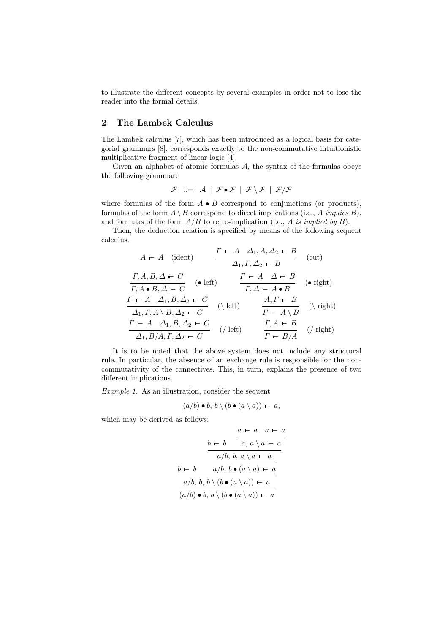to illustrate the different concepts by several examples in order not to lose the reader into the formal details.

## 2 The Lambek Calculus

The Lambek calculus [7], which has been introduced as a logical basis for categorial grammars [8], corresponds exactly to the non-commutative intuitionistic multiplicative fragment of linear logic [4].

Given an alphabet of atomic formulas  $A$ , the syntax of the formulas obeys the following grammar:

$$
\mathcal{F} \ ::= \ \mathcal{A} \ | \ \mathcal{F} \bullet \mathcal{F} \ | \ \mathcal{F} \setminus \mathcal{F} \ | \ \mathcal{F}/\mathcal{F}
$$

where formulas of the form  $A \bullet B$  correspond to conjunctions (or products), formulas of the form  $A \setminus B$  correspond to direct implications (i.e., A *implies* B), and formulas of the form  $A/B$  to retro-implication (i.e., A is implied by B).

Then, the deduction relation is specified by means of the following sequent calculus.

$$
A \vdash A \quad (\text{ident}) \qquad \frac{\Gamma \vdash A \quad \Delta_1, A, \Delta_2 \vdash B}{\Delta_1, \Gamma, \Delta_2 \vdash B} \quad (\text{cut})
$$
\n
$$
\frac{\Gamma, A, B, \Delta \vdash C}{\Gamma, A \bullet B, \Delta \vdash C} \quad (\bullet \text{ left}) \qquad \frac{\Gamma \vdash A \quad \Delta \vdash B}{\Gamma, \Delta \vdash A \bullet B} \quad (\bullet \text{ right})
$$
\n
$$
\frac{\Gamma \vdash A \quad \Delta_1, B, \Delta_2 \vdash C}{\Delta_1, \Gamma, A \setminus B, \Delta_2 \vdash C} \quad (\text{left}) \qquad \frac{A, \Gamma \vdash B}{\Gamma \vdash A \setminus B} \quad (\text{right})
$$
\n
$$
\frac{\Gamma \vdash A \quad \Delta_1, B, \Delta_2 \vdash C}{\Delta_1, B/A, \Gamma, \Delta_2 \vdash C} \quad (\text{/ left}) \qquad \frac{\Gamma, A \vdash B}{\Gamma \vdash B/A} \quad (\text{/ right})
$$

It is to be noted that the above system does not include any structural rule. In particular, the absence of an exchange rule is responsible for the noncommutativity of the connectives. This, in turn, explains the presence of two different implications.

Example 1. As an illustration, consider the sequent

$$
(a/b) \bullet b, b \setminus (b \bullet (a \setminus a)) - a,
$$

which may be derived as follows:

$$
\begin{array}{r}\n a \vdash a \quad a \vdash a \\
 b \vdash b \qquad a, a \setminus a \vdash a \\
 \hline\n a/b, b, a \setminus a \vdash a \\
 b \vdash b \qquad a/b, b \bullet (a \setminus a) \vdash a \\
 \hline\n a/b, b, b \setminus (b \bullet (a \setminus a)) \vdash a \\
 \hline\n (a/b) \bullet b, b \setminus (b \bullet (a \setminus a)) \vdash a\n \end{array}
$$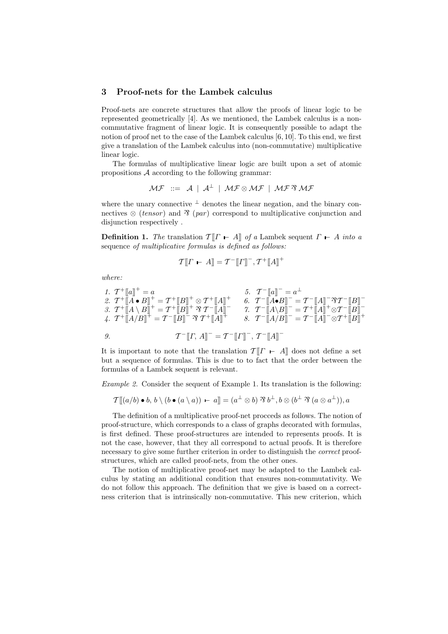## 3 Proof-nets for the Lambek calculus

Proof-nets are concrete structures that allow the proofs of linear logic to be represented geometrically [4]. As we mentioned, the Lambek calculus is a noncommutative fragment of linear logic. It is consequently possible to adapt the notion of proof net to the case of the Lambek calculus [6, 10]. To this end, we first give a translation of the Lambek calculus into (non-commutative) multiplicative linear logic.

The formulas of multiplicative linear logic are built upon a set of atomic propositions  $A$  according to the following grammar:

$$
\mathcal{MF} \ ::= \ \mathcal{A} \ | \ \mathcal{A}^{\perp} \ | \ \mathcal{MF} \otimes \mathcal{MF} \ | \ \mathcal{MF} \otimes \mathcal{MF}
$$

where the unary connective  $\perp$  denotes the linear negation, and the binary connectives  $\otimes$  (tensor) and  $\hat{\mathcal{X}}$  (par) correspond to multiplicative conjunction and disjunction respectively .

**Definition 1.** The translation  $T[T \t A]$  of a Lambek sequent  $\Gamma \vdash A$  into a sequence of multiplicative formulas is defined as follows:

$$
\mathcal{T}[\![\boldsymbol{\varGamma} \ \boldsymbol{\vdash} \ A]\!] = \mathcal{T}^{-}[\![\boldsymbol{\varGamma}]\!]^{-}, \mathcal{T}^{+}[\![\boldsymbol{\varLambda}]\!]^{+}
$$

where:

1. 
$$
T^+[[a]]^+=a
$$
  
\n2.  $T^+[[A \bullet B]]^+=T^+[B]]^+\otimes T^+[A]]^+$   
\n3.  $T^+[[A \setminus B]]^+=T^+[B]]^+\otimes T^-[A]]^-$   
\n4.  $T^+[[A/B]]^+=T^-[B]]^-\otimes T^+[A]]^-$   
\n5.  $T^-[a]]^-=a^{\perp}$   
\n6.  $T^-[A \bullet B]]^-=T^-[A]]^-\otimes T^-[B]]^-$   
\n7.  $T^-[A \setminus B]]^+=T^+[A]]^+\otimes T^-[B]]^+$   
\n8.  $T^-[A \setminus B]]^-=T^-[A]]^-\otimes T^+[B]]^+$   
\n9.  $T^-[I^-, A]]^-=T^-[I^]]^-, T^-[A]]^-$ 

It is important to note that the translation  $T[T - A]$  does not define a set but a sequence of formulas. This is due to to fact that the order between the formulas of a Lambek sequent is relevant.

Example 2. Consider the sequent of Example 1. Its translation is the following:

$$
\mathcal{T}[\![ (a/b) \bullet b, b \setminus (b \bullet (a \setminus a)) \vdash a]\!] = (a^{\perp} \otimes b) \mathbin{\Im} b^{\perp}, b \otimes (b^{\perp} \mathbin{\Im} (a \otimes a^{\perp})), a
$$

The definition of a multiplicative proof-net procceds as follows. The notion of proof-structure, which corresponds to a class of graphs decorated with formulas, is first defined. These proof-structures are intended to represents proofs. It is not the case, however, that they all correspond to actual proofs. It is therefore necessary to give some further criterion in order to distinguish the correct proofstructures, which are called proof-nets, from the other ones.

The notion of multiplicative proof-net may be adapted to the Lambek calculus by stating an additional condition that ensures non-commutativity. We do not follow this approach. The definition that we give is based on a correctness criterion that is intrinsically non-commutative. This new criterion, which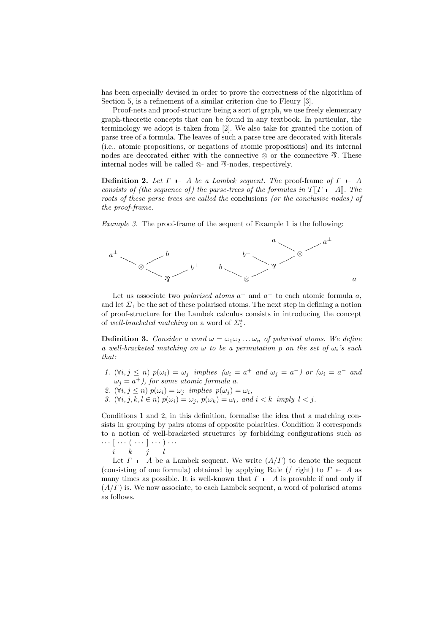has been especially devised in order to prove the correctness of the algorithm of Section 5, is a refinement of a similar criterion due to Fleury [3].

Proof-nets and proof-structure being a sort of graph, we use freely elementary graph-theoretic concepts that can be found in any textbook. In particular, the terminology we adopt is taken from [2]. We also take for granted the notion of parse tree of a formula. The leaves of such a parse tree are decorated with literals (i.e., atomic propositions, or negations of atomic propositions) and its internal nodes are decorated either with the connective  $\otimes$  or the connective  $\mathfrak{R}$ . These internal nodes will be called  $\otimes$ - and  $\mathcal{R}$ -nodes, respectively.

**Definition 2.** Let  $\Gamma$   $\vdash$  A be a Lambek sequent. The proof-frame of  $\Gamma$   $\vdash$  A consists of (the sequence of) the parse-trees of the formulas in  $T[T \rightharpoonup A]$ . The roots of these parse trees are called the conclusions (or the conclusive nodes) of the proof-frame.

Example 3. The proof-frame of the sequent of Example 1 is the following:



Let us associate two *polarised atoms*  $a^+$  and  $a^-$  to each atomic formula a, and let  $\Sigma_1$  be the set of these polarised atoms. The next step in defining a notion of proof-structure for the Lambek calculus consists in introducing the concept of well-bracketed matching on a word of  $\Sigma_1^*$ .

**Definition 3.** Consider a word  $\omega = \omega_1 \omega_2 \dots \omega_n$  of polarised atoms. We define a well-bracketed matching on  $\omega$  to be a permutation p on the set of  $\omega_i$ 's such that:

- 1.  $(\forall i, j \leq n)$   $p(\omega_i) = \omega_j$  implies  $(\omega_i = a^+$  and  $\omega_j = a^-)$  or  $(\omega_i = a^-$  and  $\omega_j = a^+$ ), for some atomic formula a.
- 2.  $(\forall i, j \leq n)$   $p(\omega_i) = \omega_j$  implies  $p(\omega_j) = \omega_i$ ,
- 3.  $(\forall i, j, k, l \in n)$   $p(\omega_i) = \omega_j$ ,  $p(\omega_k) = \omega_l$ , and  $i < k$  imply  $l < j$ .

Conditions 1 and 2, in this definition, formalise the idea that a matching consists in grouping by pairs atoms of opposite polarities. Condition 3 corresponds to a notion of well-bracketed structures by forbidding configurations such as  $\cdots$   $\lceil$   $\cdots$   $\left(\begin{array}{c} \cdots \end{array}\right]$   $\cdots$   $)\cdots$ 

$$
i\qquad k\qquad j\qquad l
$$

Let  $\Gamma \vdash A$  be a Lambek sequent. We write  $(A/\Gamma)$  to denote the sequent (consisting of one formula) obtained by applying Rule (/ right) to  $\Gamma$  – A as many times as possible. It is well-known that  $\Gamma \vdash A$  is provable if and only if  $(A/\Gamma)$  is. We now associate, to each Lambek sequent, a word of polarised atoms as follows.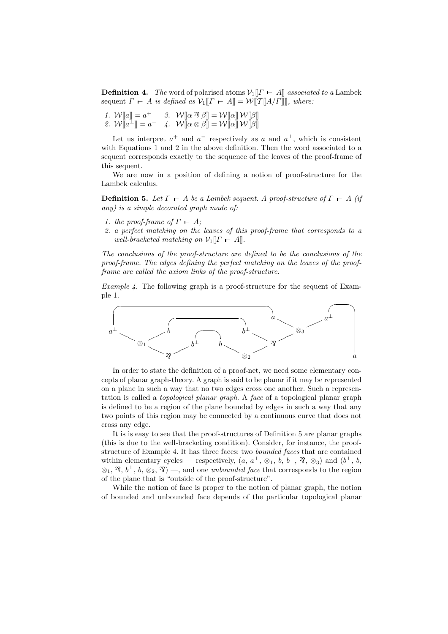**Definition 4.** The word of polarised atoms  $V_1[[\Gamma - A]]$  associated to a Lambek sequent  $\Gamma$  – A is defined as  $\mathcal{V}_1[\![\Gamma \vdash A]\!] = \mathcal{W}[\![\mathcal{T}[\![A/\Gamma]\!] \!]$ , where:

1.  $\mathcal{W}[\![a]\!] = a^+ \quad 3. \quad \mathcal{W}[\![\alpha \otimes \beta]\!] = \mathcal{W}[\![\alpha]\!] \mathcal{W}[\![\beta]\!]$ 2.  $\mathcal{W}[\![a^\perp]\!] = a^- \quad 4. \quad \mathcal{W}[\![\alpha \otimes \beta]\!] = \mathcal{W}[\![\alpha]\!] \mathcal{W}[\![\beta]\!]$ 

Let us interpret  $a^+$  and  $a^-$  respectively as a and  $a^{\perp}$ , which is consistent with Equations 1 and 2 in the above definition. Then the word associated to a sequent corresponds exactly to the sequence of the leaves of the proof-frame of this sequent.

We are now in a position of defining a notion of proof-structure for the Lambek calculus.

**Definition 5.** Let  $\Gamma \vdash A$  be a Lambek sequent. A proof-structure of  $\Gamma \vdash A$  (if any) is a simple decorated graph made of:

- 1. the proof-frame of  $\Gamma$  A;
- 2. a perfect matching on the leaves of this proof-frame that corresponds to a well-bracketed matching on  $\mathcal{V}_1[[\Gamma - A]]$ .

The conclusions of the proof-structure are defined to be the conclusions of the proof-frame. The edges defining the perfect matching on the leaves of the proofframe are called the axiom links of the proof-structure.

Example 4. The following graph is a proof-structure for the sequent of Example 1.



In order to state the definition of a proof-net, we need some elementary concepts of planar graph-theory. A graph is said to be planar if it may be represented on a plane in such a way that no two edges cross one another. Such a representation is called a topological planar graph. A face of a topological planar graph is defined to be a region of the plane bounded by edges in such a way that any two points of this region may be connected by a continuous curve that does not cross any edge.

It is is easy to see that the proof-structures of Definition 5 are planar graphs (this is due to the well-bracketing condition). Consider, for instance, the proofstructure of Example 4. It has three faces: two bounded faces that are contained within elementary cycles — respectively,  $(a, a^{\perp}, \otimes_1, b, b^{\perp}, \mathcal{R}, \otimes_3)$  and  $(b^{\perp}, b,$  $\otimes_1$ ,  $\mathfrak{R}, b^{\perp}, b, \otimes_2, \mathfrak{R}$  –, and one *unbounded face* that corresponds to the region of the plane that is "outside of the proof-structure".

While the notion of face is proper to the notion of planar graph, the notion of bounded and unbounded face depends of the particular topological planar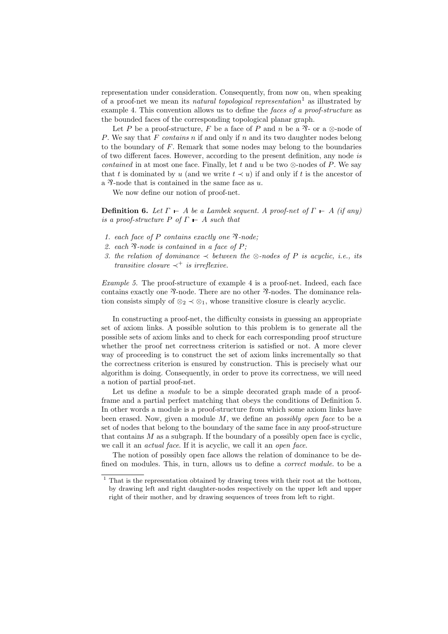representation under consideration. Consequently, from now on, when speaking of a proof-net we mean its *natural topological representation*<sup>1</sup> as illustrated by example 4. This convention allows us to define the faces of a proof-structure as the bounded faces of the corresponding topological planar graph.

Let P be a proof-structure, F be a face of P and n be a  $\mathcal{R}_2$ - or a  $\otimes$ -node of P. We say that F contains n if and only if n and its two daughter nodes belong to the boundary of  $F$ . Remark that some nodes may belong to the boundaries of two different faces. However, according to the present definition, any node is contained in at most one face. Finally, let t and u be two  $\otimes$ -nodes of P. We say that t is dominated by u (and we write  $t \lt u$ ) if and only if t is the ancestor of a  $\mathcal{P}\text{-node}$  that is contained in the same face as u.

We now define our notion of proof-net.

**Definition 6.** Let  $\Gamma$   $\vdash$  A be a Lambek sequent. A proof-net of  $\Gamma$   $\vdash$  A (if any) is a proof-structure P of  $\Gamma \vdash A$  such that

- 1. each face of P contains exactly one  $\mathcal{R}\text{-node}$ ;
- 2. each  $\mathcal{R}$ -node is contained in a face of P;
- 3. the relation of dominance  $\prec$  between the ⊗-nodes of P is acyclic, i.e., its transitive closure  $\prec^+$  is irreflexive.

Example 5. The proof-structure of example 4 is a proof-net. Indeed, each face contains exactly one  $\mathcal{X}-$ node. There are no other  $\mathcal{X}-$ nodes. The dominance relation consists simply of  $\otimes_2 \prec \otimes_1$ , whose transitive closure is clearly acyclic.

In constructing a proof-net, the difficulty consists in guessing an appropriate set of axiom links. A possible solution to this problem is to generate all the possible sets of axiom links and to check for each corresponding proof structure whether the proof net correctness criterion is satisfied or not. A more clever way of proceeding is to construct the set of axiom links incrementally so that the correctness criterion is ensured by construction. This is precisely what our algorithm is doing. Consequently, in order to prove its correctness, we will need a notion of partial proof-net.

Let us define a *module* to be a simple decorated graph made of a proofframe and a partial perfect matching that obeys the conditions of Definition 5. In other words a module is a proof-structure from which some axiom links have been erased. Now, given a module M, we define an *possibly open face* to be a set of nodes that belong to the boundary of the same face in any proof-structure that contains M as a subgraph. If the boundary of a possibly open face is cyclic, we call it an *actual face*. If it is acyclic, we call it an *open face*.

The notion of possibly open face allows the relation of dominance to be defined on modules. This, in turn, allows us to define a correct module. to be a

 $1$  That is the representation obtained by drawing trees with their root at the bottom, by drawing left and right daughter-nodes respectively on the upper left and upper right of their mother, and by drawing sequences of trees from left to right.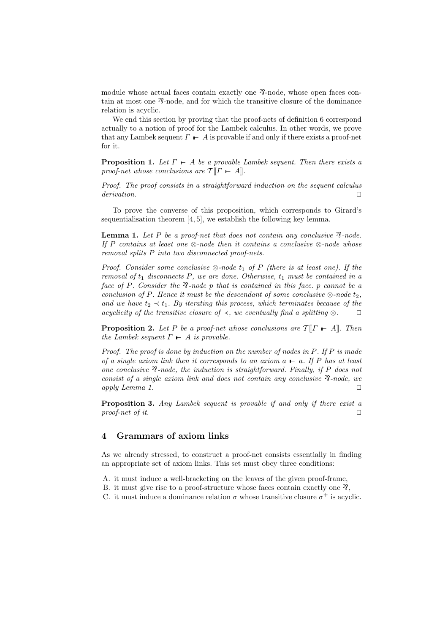module whose actual faces contain exactly one  $\mathcal{R}\text{-node}$ , whose open faces contain at most one  $\mathcal{P}_1$ -node, and for which the transitive closure of the dominance relation is acyclic.

We end this section by proving that the proof-nets of definition 6 correspond actually to a notion of proof for the Lambek calculus. In other words, we prove that any Lambek sequent  $\Gamma \vdash A$  is provable if and only if there exists a proof-net for it.

**Proposition 1.** Let  $\Gamma$   $\vdash$  A be a provable Lambek sequent. Then there exists a proof-net whose conclusions are  $T\llbracket \Gamma \vdash A \rrbracket$ .

Proof. The proof consists in a straightforward induction on the sequent calculus derivation.  $\Box$ 

To prove the converse of this proposition, which corresponds to Girard's sequentialisation theorem [4, 5], we establish the following key lemma.

**Lemma 1.** Let P be a proof-net that does not contain any conclusive  $\mathcal{R}$ -node. If P contains at least one  $\otimes$ -node then it contains a conclusive  $\otimes$ -node whose removal splits P into two disconnected proof-nets.

Proof. Consider some conclusive  $\otimes$ -node  $t_1$  of P (there is at least one). If the removal of  $t_1$  disconnects P, we are done. Otherwise,  $t_1$  must be contained in a face of P. Consider the  $\mathcal{R}\text{-node }p$  that is contained in this face. p cannot be a conclusion of P. Hence it must be the descendant of some conclusive  $\otimes$ -node  $t_2$ , and we have  $t_2 \prec t_1$ . By iterating this process, which terminates because of the acyclicity of the transitive closure of  $\prec$ , we eventually find a splitting ⊗.  $\square$ 

**Proposition 2.** Let P be a proof-net whose conclusions are  $\mathcal{T}[[\Gamma \vdash A]]$ . Then the Lambek sequent  $\Gamma \vdash A$  is provable.

Proof. The proof is done by induction on the number of nodes in P. If P is made of a single axiom link then it corresponds to an axiom  $a \vdash a$ . If P has at least one conclusive  $\mathcal{R}\text{-node}$ , the induction is straightforward. Finally, if P does not consist of a single axiom link and does not contain any conclusive  $\mathcal{R}\text{-node}$ , we apply Lemma 1.  $\Box$ 

Proposition 3. Any Lambek sequent is provable if and only if there exist a proof-net of it.  $\square$ 

## 4 Grammars of axiom links

As we already stressed, to construct a proof-net consists essentially in finding an appropriate set of axiom links. This set must obey three conditions:

- A. it must induce a well-bracketing on the leaves of the given proof-frame,
- B. it must give rise to a proof-structure whose faces contain exactly one  $\mathcal{R}$ ,
- C. it must induce a dominance relation  $\sigma$  whose transitive closure  $\sigma^+$  is acyclic.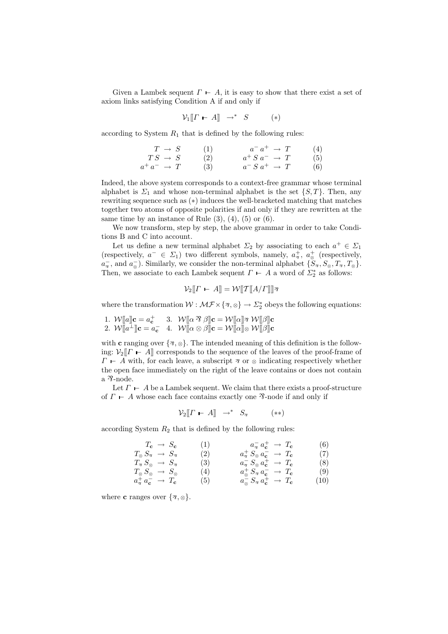Given a Lambek sequent  $\Gamma \vdash A$ , it is easy to show that there exist a set of axiom links satisfying Condition A if and only if

$$
\mathcal{V}_1[\![\boldsymbol{\varGamma} \ \boldsymbol{\vdash} \ \boldsymbol{\varLambda}]\!] \ \ \rightarrow^* \ \ S \tag{*}
$$

according to System  $R_1$  that is defined by the following rules:

$$
\begin{array}{ccc}\nT \rightarrow S & (1) & a^-a^+ \rightarrow T & (4) \\
TS \rightarrow S & (2) & a^+S a^- \rightarrow T & (5) \\
a^+a^- \rightarrow T & (3) & a^-S a^+ \rightarrow T & (6)\n\end{array}
$$

Indeed, the above system corresponds to a context-free grammar whose terminal alphabet is  $\Sigma_1$  and whose non-terminal alphabet is the set  $\{S, T\}$ . Then, any rewriting sequence such as (∗) induces the well-bracketed matching that matches together two atoms of opposite polarities if and only if they are rewritten at the same time by an instance of Rule  $(3)$ ,  $(4)$ ,  $(5)$  or  $(6)$ .

We now transform, step by step, the above grammar in order to take Conditions B and C into account.

Let us define a new terminal alphabet  $\Sigma_2$  by associating to each  $a^+ \in \Sigma_1$ (respectively,  $a^- \in \Sigma_1$ ) two different symbols, namely,  $a^+_{\mathcal{R}}$ ,  $a^+_{\mathcal{Q}}$  (respectively,  $a_{\overline{s}}$ , and  $a_{\otimes}$ ). Similarly, we consider the non-terminal alphabet  $\{\widetilde{S}_\mathcal{B}, S_\otimes, T_\mathcal{B}, T_\otimes\}$ . Then, we associate to each Lambek sequent  $\Gamma \vdash A$  a word of  $\Sigma_2^*$  as follows:

$$
\mathcal{V}_2[\![\boldsymbol{\varGamma} \ \boldsymbol{\vdash} \ A]\!] = \mathcal{W}[\![\boldsymbol{\varGamma}[\![\boldsymbol{A}/\boldsymbol{\varGamma}]\!]]\!] \mathcal{B}
$$

where the transformation  $W : \mathcal{MF} \times \{ \infty \} \to \Sigma_2^*$  obeys the following equations:

1. 
$$
W[\![a]\!]
$$
**c** =  $a_{\mathbf{c}}^+$  3.  $W[\![\alpha \otimes \beta]\!]$ **c** =  $W[\![\alpha]\!]$ **v**  $W[\![\beta]\!]$ **c**  
2.  $W[\![a^{\perp}]\!]$ **c** =  $a_{\mathbf{c}}^-$  4.  $W[\![\alpha \otimes \beta]\!]$ **c** =  $W[\![\alpha]\!] \otimes W[\![\beta]\!]$ **c**

with c ranging over  $\{\infty, \infty\}$ . The intended meaning of this definition is the following:  $\mathcal{V}_2[\![\Gamma \vdash A]\!]$  corresponds to the sequence of the leaves of the proof-frame of  $\Gamma$  – A with, for each leave, a subscript  $\gamma$  or  $\otimes$  indicating respectively whether the open face immediately on the right of the leave contains or does not contain a  $\nu$ -node.

Let  $\Gamma$   $\vdash$  A be a Lambek sequent. We claim that there exists a proof-structure of  $\Gamma$  – A whose each face contains exactly one  $\mathcal{R}$ -node if and only if

$$
\mathcal{V}_2[\![\Gamma \vdash A]\!] \rightarrow^* S_{\mathcal{R}} \qquad (*)
$$

according System  $R_2$  that is defined by the following rules:

$$
T_{\mathbf{c}} \rightarrow S_{\mathbf{c}} \qquad (1) \qquad a_{\overline{q}} a_{\mathbf{c}}^+ \rightarrow T_{\mathbf{c}} \qquad (6)
$$
  
\n
$$
T_{\mathbf{c}} S_{\overline{q}} \rightarrow S_{\overline{q}} \qquad (2) \qquad a_{\overline{q}}^+ S_{\mathbf{c}} a_{\overline{q}}^- \rightarrow T_{\mathbf{c}} \qquad (7)
$$
  
\n
$$
T_{\overline{q}} S_{\mathbf{c}} \rightarrow S_{\overline{q}} \qquad (3) \qquad a_{\overline{q}}^- S_{\mathbf{c}} a_{\overline{q}}^+ \rightarrow T_{\mathbf{c}} \qquad (8)
$$
  
\n
$$
+ C_{\overline{q}} S_{\mathbf{c}} a_{\overline{q}} \rightarrow T_{\mathbf{c}} \qquad (9)
$$

$$
T_{\otimes} S_{\otimes} \rightarrow S_{\otimes} \qquad (4) \qquad a_{\otimes}^{+} S_{\Re} a_{\mathbf{c}}^{-} \rightarrow T_{\mathbf{c}} \qquad (9) a_{\Im}^{+} a_{\mathbf{c}}^{-} \rightarrow T_{\mathbf{c}} \qquad (10)
$$

where **c** ranges over  $\{\infty, \infty\}.$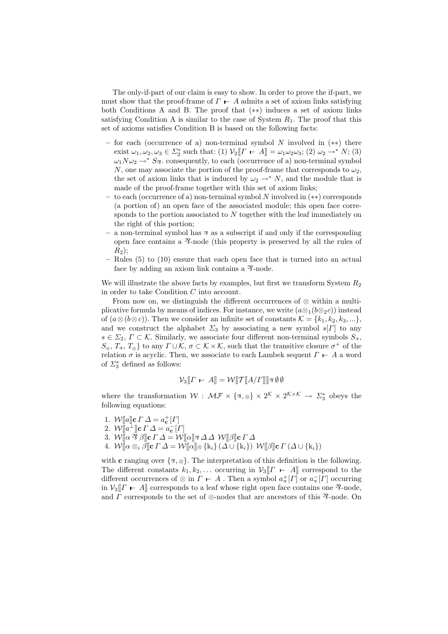The only-if-part of our claim is easy to show. In order to prove the if-part, we must show that the proof-frame of  $\Gamma$  – A admits a set of axiom links satisfying both Conditions A and B. The proof that (∗∗) induces a set of axiom links satisfying Condition A is similar to the case of System  $R_1$ . The proof that this set of axioms satisfies Condition B is based on the following facts:

- for each (occurrence of a) non-terminal symbol  $N$  involved in  $(**)$  there exist  $\omega_1, \omega_2, \omega_3 \in \Sigma_2^*$  such that: (1)  $\mathcal{V}_2[\![\Gamma \vdash A]\!] = \omega_1 \omega_2 \omega_3$ ; (2)  $\omega_2 \rightarrow^* N$ ; (3)  $\omega_1 N \omega_2 \rightarrow^* S_{\mathfrak{D}}$ , consequently, to each (occurrence of a) non-terminal symbol N, one may associate the portion of the proof-frame that corresponds to  $\omega_2$ , the set of axiom links that is induced by  $\omega_2 \rightarrow^* N$ , and the module that is made of the proof-frame together with this set of axiom links;
- to each (occurrence of a) non-terminal symbol N involved in (∗∗) corresponds (a portion of) an open face of the associated module; this open face corresponds to the portion associated to N together with the leaf immediately on the right of this portion;
- a non-terminal symbol has  $\alpha$  as a subscript if and only if the corresponding open face contains a  $\mathcal{R}$ -node (this property is preserved by all the rules of  $R_2$ ;
- Rules (5) to (10) ensure that each open face that is turned into an actual face by adding an axiom link contains a  $\mathcal{R}\text{-node}$ .

We will illustrate the above facts by examples, but first we transform System  $R_2$ in order to take Condition C into account.

From now on, we distinguish the different occurrences of  $\otimes$  within a multiplicative formula by means of indices. For instance, we write  $(a\otimes_1(b\otimes_2c))$  instead of  $(a\otimes (b\otimes c))$ . Then we consider an infinite set of constants  $\mathcal{K} = \{k_1, k_2, k_3, ...\}$ , and we construct the alphabet  $\Sigma_3$  by associating a new symbol s[T] to any  $s \in \Sigma_2$ ,  $\Gamma \subset \mathcal{K}$ . Similarly, we associate four different non-terminal symbols  $S_{\gamma}$ ,  $S_{\otimes}, T_{\mathcal{B}}, T_{\otimes}$  to any  $\Gamma \cup \mathcal{K}, \sigma \subset \mathcal{K} \times \mathcal{K}$ , such that the transitive closure  $\sigma^+$  of the relation  $\sigma$  is acyclic. Then, we associate to each Lambek sequent  $\Gamma \vdash A$  a word of  $\Sigma_3^*$  defined as follows:

$$
\mathcal{V}_3[\![\boldsymbol{\varGamma} \ \boldsymbol{\vdash} \ A]\!] = \mathcal{W}[\![\boldsymbol{\varGamma}[\![\boldsymbol{A}/\boldsymbol{\varGamma}]\!]]\!] \mathbf{A} \emptyset \emptyset
$$

where the transformation  $W: \mathcal{MF} \times \{x, \otimes\} \times 2^{\mathcal{K}} \times 2^{\mathcal{K} \times \mathcal{K}} \to \Sigma_3^*$  obeys the following equations:

1.  $W[\![a]\!]$ **c**  $\Gamma \Delta = a_{\mathbf{c}}^+[\Gamma]$ 2.  $\mathcal{W}[\![a^{\perp}]\!]$ c  $\Gamma \Delta = a_{\mathbf{c}}^{-}[ \Gamma ]$ 3.  $\mathcal{W} \overline{[} \alpha \bar{\mathcal{B}} \beta \overline{]}$ c  $\Gamma \Delta = \mathcal{W} \overline{[} \alpha \overline{]} \mathcal{B} \Delta \Delta \mathcal{W} \overline{[} \beta \overline{]}$ c  $\Gamma \Delta$ 4.  $\mathcal{W}[\![\alpha\otimes_i \beta]\!]$ c  $\Gamma$   $\varDelta = \mathcal{W}[\![\alpha]\!]$  $\otimes$   $\{k_i\}$   $(\varDelta \cup \{k_i\})$   $\mathcal{W}[\![\beta]\!]$ c  $\Gamma$   $(\varDelta \cup \{k_i\})$ 

with c ranging over  $\{\infty, \infty\}$ . The interpretation of this definition is the following. The different constants  $k_1, k_2, \ldots$  occurring in  $\mathcal{V}_3[\![\Gamma \vdash A]\!]$  correspond to the different occurrences of  $\otimes$  in  $\Gamma \vdash A$ . Then a symbol  $a_{\overline{3}}^+[{\Gamma}]$  or  $a_{\overline{3}}^-[{\Gamma}]$  occurring in  $\mathcal{V}_3[[\Gamma - A]]$  corresponds to a leaf whose right open face contains one  $\mathcal{V}_3$ -node, and  $\Gamma$  corresponds to the set of  $\otimes$ -nodes that are ancestors of this  $\mathcal{R}$ -node. On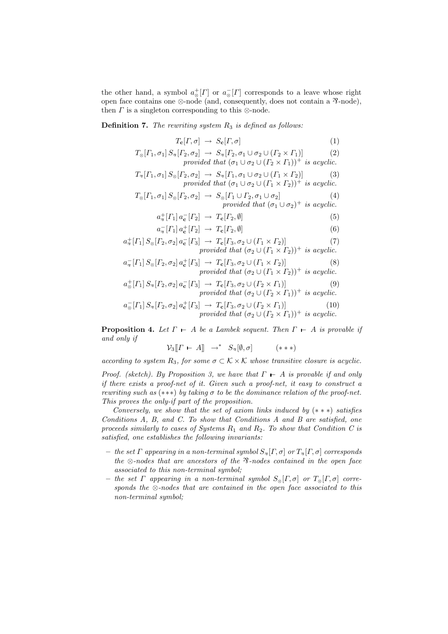the other hand, a symbol  $a_{\otimes}^{+}[F]$  or  $a_{\otimes}^{-}[F]$  corresponds to a leave whose right open face contains one  $\otimes$ -node (and, consequently, does not contain a  $\mathcal{R}$ -node), then  $\Gamma$  is a singleton corresponding to this  $\otimes$ -node.

**Definition 7.** The rewriting system  $R_3$  is defined as follows:

$$
T_{\mathbf{c}}[{\Gamma, \sigma}] \rightarrow S_{\mathbf{c}}[{\Gamma, \sigma}] \tag{1}
$$

$$
T_{\otimes}[{\Gamma}_1, \sigma_1] S_{\otimes}[{\Gamma}_2, \sigma_2] \rightarrow S_{\otimes}[{\Gamma}_2, \sigma_1 \cup \sigma_2 \cup ({\Gamma}_2 \times {\Gamma}_1)] \tag{2}
$$

provided that  $(\sigma_1 \cup \sigma_2 \cup (\Gamma_2 \times \Gamma_1))^+$  is acyclic.

$$
T_{\mathcal{B}}[{\Gamma_1, \sigma_1} S_{\otimes} [{\Gamma_2, \sigma_2}] \rightarrow S_{\mathcal{B}}[{\Gamma_1, \sigma_1 \cup \sigma_2 \cup (\Gamma_1 \times \Gamma_2)}] \qquad (3)
$$
  
provided that  $(\sigma_1 \cup \sigma_2 \cup ({\Gamma_1 \times \Gamma_2}))^+$  is acyclic.

$$
T_{\otimes}[ \Gamma_1, \sigma_1] S_{\otimes}[\Gamma_2, \sigma_2] \rightarrow S_{\otimes}[\Gamma_1 \cup \Gamma_2, \sigma_1 \cup \sigma_2]
$$
  
\nprovided that  $(\sigma_1 \cup \sigma_2)^{+}$  is acyclic. (4)

$$
a_{\overline{z}}^+[{\Gamma}_1] a_{\mathbf{c}}^-[{\Gamma}_2] \rightarrow T_{\mathbf{c}}[{\Gamma}_2, \emptyset]
$$
\n
$$
(5)
$$

$$
a_{\overline{s}}[{\Gamma_1}] a_{\mathbf{c}}^+[{\Gamma_2}] \rightarrow {\Gamma_{\mathbf{c}}}[{\Gamma_2}, \emptyset]
$$
\n(6)

$$
a_{\pi}^+[{\Gamma}_1] S_{\otimes} [{\Gamma}_2, \sigma_2] a_{\mathbf{c}}^{-}[{\Gamma}_3] \rightarrow {\Gamma}_{\mathbf{c}} [{\Gamma}_3, \sigma_2 \cup ({\Gamma}_1 \times {\Gamma}_2)]
$$
  
provided that  $(\sigma_2 \cup ({\Gamma}_1 \times {\Gamma}_2))^+$  is acyclic. (7)

$$
a_{\overline{\alpha}}[{\Gamma}_1] S_{\otimes} [{\Gamma}_2, \sigma_2] a_{\mathbf{c}}^+[{\Gamma}_3] \rightarrow {\Gamma}_{{\mathbf{c}}}[{\Gamma}_3, \sigma_2 \cup ({\Gamma}_1 \times {\Gamma}_2)]
$$
  
\nprovided that  $(\sigma_2 \cup ({\Gamma}_1 \times {\Gamma}_2))^+$  is acyclic. (8)

$$
a_{\otimes}^+[{\Gamma}_1] S_{\otimes} [{\Gamma}_2, \sigma_2] a_{\mathbf{c}}^- [{\Gamma}_3] \to T_{\mathbf{c}} [{\Gamma}_3, \sigma_2 \cup ({\Gamma}_2 \times {\Gamma}_1)] \qquad (9)
$$
  
provided that  $(\sigma_2 \cup ({\Gamma}_2 \times {\Gamma}_1))^+$  is acyclic.

$$
a_{\otimes}^{-}[T_1] S_{\otimes} [T_2, \sigma_2] a_{\mathbf{c}}^{+}[T_3] \rightarrow T_{\mathbf{c}} [T_3, \sigma_2 \cup (T_2 \times T_1)]
$$
\n*provided that*  $(\sigma_2 \cup (T_2 \times T_1))^+$  *is acyclic.* (10)

**Proposition 4.** Let  $\Gamma$   $\vdash$  A be a Lambek sequent. Then  $\Gamma$   $\vdash$  A is provable if and only if

$$
\mathcal{V}_3[\![\boldsymbol{\varGamma} \ \boldsymbol{\varGamma} \ \boldsymbol{\varPi}]\!] \rightarrow^* \ S_{\mathcal{B}}[\emptyset, \sigma] \qquad (***)
$$

according to system  $R_3$ , for some  $\sigma \subset \mathcal{K} \times \mathcal{K}$  whose transitive closure is acyclic.

Proof. (sketch). By Proposition 3, we have that  $\Gamma \vdash A$  is provable if and only if there exists a proof-net of it. Given such a proof-net, it easy to construct a rewriting such as  $(***)$  by taking  $\sigma$  to be the dominance relation of the proof-net. This proves the only-if part of the proposition.

Conversely, we show that the set of axiom links induced by  $(***)$  satisfies Conditions A, B, and C. To show that Conditions A and B are satisfied, one proceeds similarly to cases of Systems  $R_1$  and  $R_2$ . To show that Condition C is satisfied, one establishes the following invariants:

- the set  $\Gamma$  appearing in a non-terminal symbol  $S_{\mathcal{B}}[\Gamma, \sigma]$  or  $T_{\mathcal{B}}[\Gamma, \sigma]$  corresponds the  $\otimes$ -nodes that are ancestors of the  $\mathcal{R}$ -nodes contained in the open face associated to this non-terminal symbol;
- the set  $\Gamma$  appearing in a non-terminal symbol  $S_{\infty}[\Gamma, \sigma]$  or  $T_{\infty}[\Gamma, \sigma]$  corresponds the  $\otimes$ -nodes that are contained in the open face associated to this non-terminal symbol;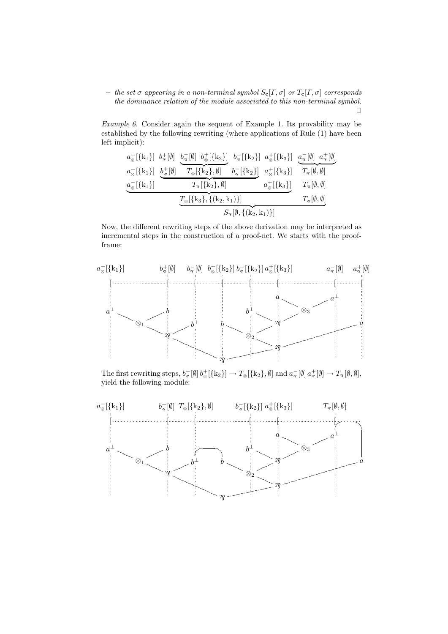– the set σ appearing in a non-terminal symbol Sc[Γ, σ] or Tc[Γ, σ] corresponds the dominance relation of the module associated to this non-terminal symbol.  $\Box$ 

Example 6. Consider again the sequent of Example 1. Its provability may be established by the following rewriting (where applications of Rule (1) have been left implicit):

$$
\frac{a_{\otimes}^{-}[\{k_{1}\}] \quad b_{\overline{\gamma}}^{+}[\emptyset] \quad b_{\overline{\gamma}}^{-}[\emptyset] \quad b_{\overline{\gamma}}^{-}[\{k_{2}\}] \quad b_{\overline{\gamma}}^{-}[\{k_{2}\}] \quad a_{\otimes}^{+}[\{k_{3}\}] \quad \frac{a_{\overline{\gamma}}^{-}[\emptyset] \quad a_{\overline{\gamma}}^{+}[\emptyset]}{a_{\otimes}^{-}[\{k_{1}\}] \quad b_{\overline{\gamma}}^{-}[\{k_{2}\},\emptyset] \quad b_{\overline{\gamma}}^{-}[\{k_{2}\}] \quad a_{\otimes}^{+}[\{k_{3}\}] \quad T_{\overline{\gamma}}[\emptyset,\emptyset]}{T_{\overline{\gamma}}[\emptyset,\emptyset]} \quad \frac{a_{\overline{\gamma}}^{-}[\{k_{1}\}]}{T_{\overline{\gamma}}[\emptyset,\emptyset]} \quad a_{\otimes}^{+}[\{k_{3}\}] \quad T_{\overline{\gamma}}[\emptyset,\emptyset]}{T_{\overline{\gamma}}[\emptyset,\emptyset]} \quad \frac{T_{\overline{\gamma}}[\{k_{3}\},\{(k_{2},k_{1})\}]}{S_{\overline{\gamma}}[\emptyset,\{(k_{2},k_{1})\}]} \quad T_{\overline{\gamma}}[\emptyset,\emptyset]}
$$

Now, the different rewriting steps of the above derivation may be interpreted as incremental steps in the construction of a proof-net. We starts with the proofframe:



The first rewriting steps,  $b_{\overline{2}} [\emptyset] b_{\otimes}^+ [\{k_2\}] \to T_{\otimes} [\{k_2\}, \emptyset]$  and  $a_{\overline{2}} [\emptyset] a_{\overline{2}}^+ [\emptyset] \to T_{\overline{2}} [\emptyset, \emptyset]$ , yield the following module:

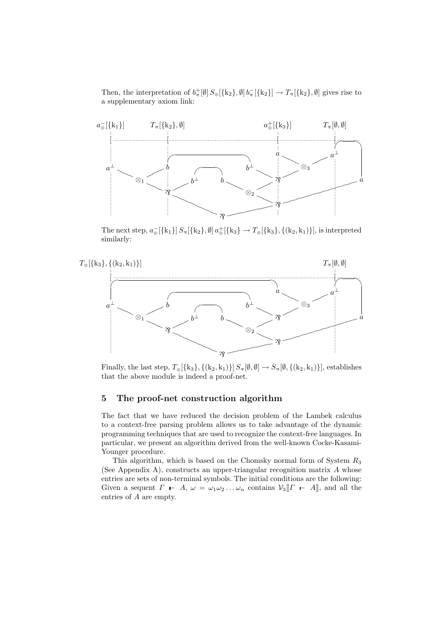Then, the interpretation of  $b^+_{\mathcal{R}}[\emptyset] S_{\otimes}[\{k_2\},\emptyset] b^-_{\mathcal{R}}[\{k_2\}] \to T_{\mathcal{R}}[\{k_2\},\emptyset]$  gives rise to a supplementary axiom link:



The next step,  $a_{\otimes}^{-}[\{k_1\}] S_{\mathcal{B}}[\{k_2\}, \emptyset] a_{\otimes}^{+}[\{k_3\} \to T_{\otimes}[\{k_3\}, \{(k_2, k_1)\}],$  is interpreted similarly:



Finally, the last step,  $T_{\otimes}[\{k_3\}, \{(k_2, k_1)\}]$   $S_{\otimes}[\emptyset, \emptyset] \rightarrow S_{\otimes}[\emptyset, \{(k_2, k_1)\}]$ , establishes that the above module is indeed a proof-net.

#### 5 The proof-net construction algorithm

The fact that we have reduced the decision problem of the Lambek calculus to a context-free parsing problem allows us to take advantage of the dynamic programming techniques that are used to recognize the context-free languages. In particular, we present an algorithm derived from the well-known Cocke-Kasami-Younger procedure.

This algorithm, which is based on the Chomsky normal form of System  $R_3$ (See Appendix A), constructs an upper-triangular recognition matrix  $A$  whose entries are sets of non-terminal symbols. The initial conditions are the following: Given a sequent  $\Gamma \vdash A$ ,  $\omega = \omega_1 \omega_2 \ldots \omega_n$  contains  $\mathcal{V}_3[\![\Gamma \vdash A]\!]$ , and all the entries of A are empty.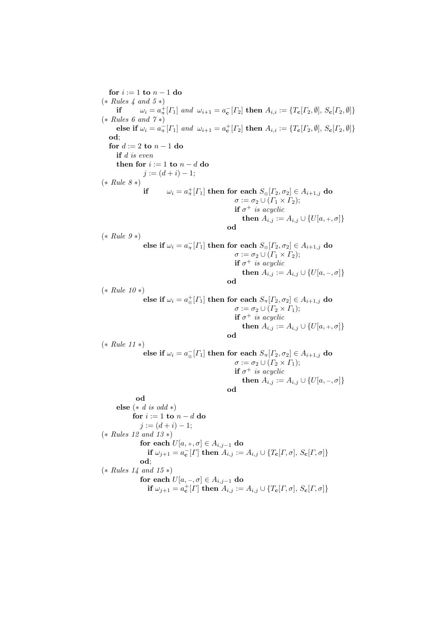for  $i := 1$  to  $n - 1$  do  $(* Rules 4 and 5*)$ if  $\omega_i = a^+_{\mathcal{R}}[{\Gamma}_1]$  and  $\omega_{i+1} = a^-_{\mathbf{c}}[{\Gamma}_2]$  then  $A_{i,i} := \{T_{\mathbf{c}}[{\Gamma}_2, \emptyset], S_{\mathbf{c}}[{\Gamma}_2, \emptyset]\}$  $(* Rules 6 and 7*)$ else if  $\omega_i = a_{\overline{\imath}}[{\Gamma_1}]$  and  $\omega_{i+1} = a_{\mathbf{c}}^+[{\Gamma_2}]$  then  $A_{i,i} := \{T_{\mathbf{c}}[{\Gamma_2}, \emptyset], S_{\mathbf{c}}[{\Gamma_2}, \emptyset]\}$ od; for  $d := 2$  to  $n - 1$  do if d is even then for  $i := 1$  to  $n - d$  do  $j := (d + i) - 1;$  $(*\,\,Rule\,\,8*)$  $\quad \quad \text{if} \quad \quad \omega_i=a^+_{\overline{\gamma}}[{\mathit\Gamma}_1] \text{ then for each } S_{\overline{\varphi}}[{\mathit\Gamma}_2, \sigma_2] \in A_{i+1,j} \text{ do}$  $\sigma := \sigma_2 \cup (\Gamma_1 \times \Gamma_2);$ if  $\sigma^+$  is acyclic then  $A_{i,j} := A_{i,j} \cup \{U[a, +, \sigma]\}$ od  $(*\,\,Rule\,\,9*)$ else if  $\omega_i = a_{\overline{\gamma}} [T_1]$  then for each  $S_{\otimes}[T_2, \sigma_2] \in A_{i+1,j}$  do  $\sigma := \sigma_2 \cup (\Gamma_1 \times \Gamma_2);$ if  $\sigma^+$  is acyclic then  $A_{i,j} := A_{i,j} \cup \{U[a, -, \sigma]\}$ od  $(*\,\,Rule\,\,10*)$ else if  $\omega_i = a_{\otimes}^+[{\varGamma}_1]$  then for each  $S_{\vartheta}[{\varGamma}_2, \sigma_2] \in A_{i+1,j}$  do  $\sigma := \sigma_2 \cup (\Gamma_2 \times \Gamma_1);$ if  $\sigma^+$  is acyclic then  $A_{i,j} := A_{i,j} \cup \{U[a, +, \sigma]\}$ od (∗ Rule 11 ∗) else if  $\omega_i = a_{\otimes}^{-}[T_1]$  then for each  $S_{\otimes}[T_2, \sigma_2] \in A_{i+1,j}$  do  $\sigma := \sigma_2 \cup (\Gamma_2 \times \Gamma_1);$ if  $\sigma^+$  is acyclic then  $A_{i,j} := A_{i,j} \cup \{U[a, -, \sigma]\}$ od od else  $(* d is odd *)$ for  $i := 1$  to  $n - d$  do  $j := (d + i) - 1;$ (∗ Rules 12 and 13 ∗) for each  $U[a, +, \sigma] \in A_{i,j-1}$  do if  $\omega_{j+1} = a_{\mathbf{c}}^{-}[I]$  then  $A_{i,j} := A_{i,j} \cup \{T_{\mathbf{c}}[I, \sigma], S_{\mathbf{c}}[I, \sigma]\}$ od; (∗ Rules 14 and 15 ∗) for each  $U[a, -, \sigma] \in A_{i,j-1}$  do if  $\omega_{j+1} = a_{\mathbf{c}}^+[{\Gamma}]$  then  $A_{i,j} := A_{i,j} \cup \{T_{\mathbf{c}}[{\Gamma},{\sigma}],\,S_{\mathbf{c}}[{\Gamma},{\sigma}]\}$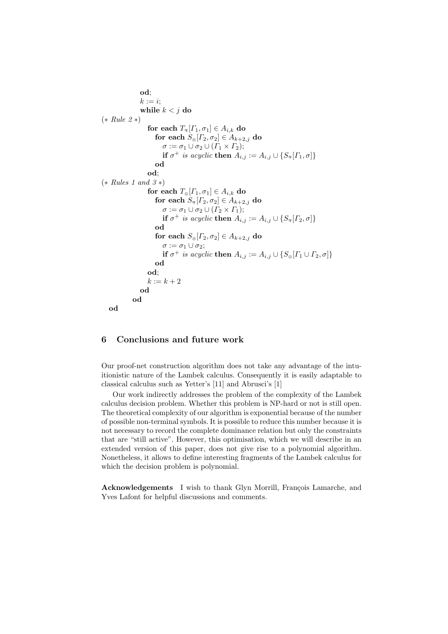```
od;
                    k := i;
                    while k < j do
(∗ Rule 2 ∗)
                        for each T_{\mathcal{F}}[{\Gamma}_1, \sigma_1] \in A_{i,k} do
                            for each S_{\otimes}[T_2, \sigma_2] \in A_{k+2,j} do
                                \sigma := \sigma_1 \cup \sigma_2 \cup (\Gamma_1 \times \Gamma_2);if \sigma^+ is acyclic then A_{i,j} := A_{i,j} \cup \{S_{\mathcal{B}}[{\Gamma_{1}, \sigma}]\}od
                        od;
(* Rules 1 and 3*)for each T_{\otimes}[{\Gamma}_1, \sigma_1] \in A_{i,k} do
                            for each S_{\mathcal{P}}[T_2, \sigma_2] \in A_{k+2,j} do
                                \sigma := \sigma_1 \cup \sigma_2 \cup (F_2 \times F_1);if \sigma^+ is acyclic then A_{i,j} := A_{i,j} \cup \{S_{\mathcal{B}}[{\Gamma_2},\sigma]\}od
                            for each S_{\otimes}[{\varGamma}_2, \sigma_2] \in A_{k+2,j} do
                                \sigma := \sigma_1 \cup \sigma_2;if \sigma^+ is acyclic then A_{i,j} := A_{i,j} \cup \{S_{\otimes}[{\Gamma_1 \cup \Gamma_2}, \sigma]\}od
                        od;
                        k := k + 2od
                od
   od
```
### 6 Conclusions and future work

Our proof-net construction algorithm does not take any advantage of the intuitionistic nature of the Lambek calculus. Consequently it is easily adaptable to classical calculus such as Yetter's [11] and Abrusci's [1]

Our work indirectly addresses the problem of the complexity of the Lambek calculus decision problem. Whether this problem is NP-hard or not is still open. The theoretical complexity of our algorithm is exponential because of the number of possible non-terminal symbols. It is possible to reduce this number because it is not necessary to record the complete dominance relation but only the constraints that are "still active". However, this optimisation, which we will describe in an extended version of this paper, does not give rise to a polynomial algorithm. Nonetheless, it allows to define interesting fragments of the Lambek calculus for which the decision problem is polynomial.

Acknowledgements I wish to thank Glyn Morrill, François Lamarche, and Yves Lafont for helpful discussions and comments.